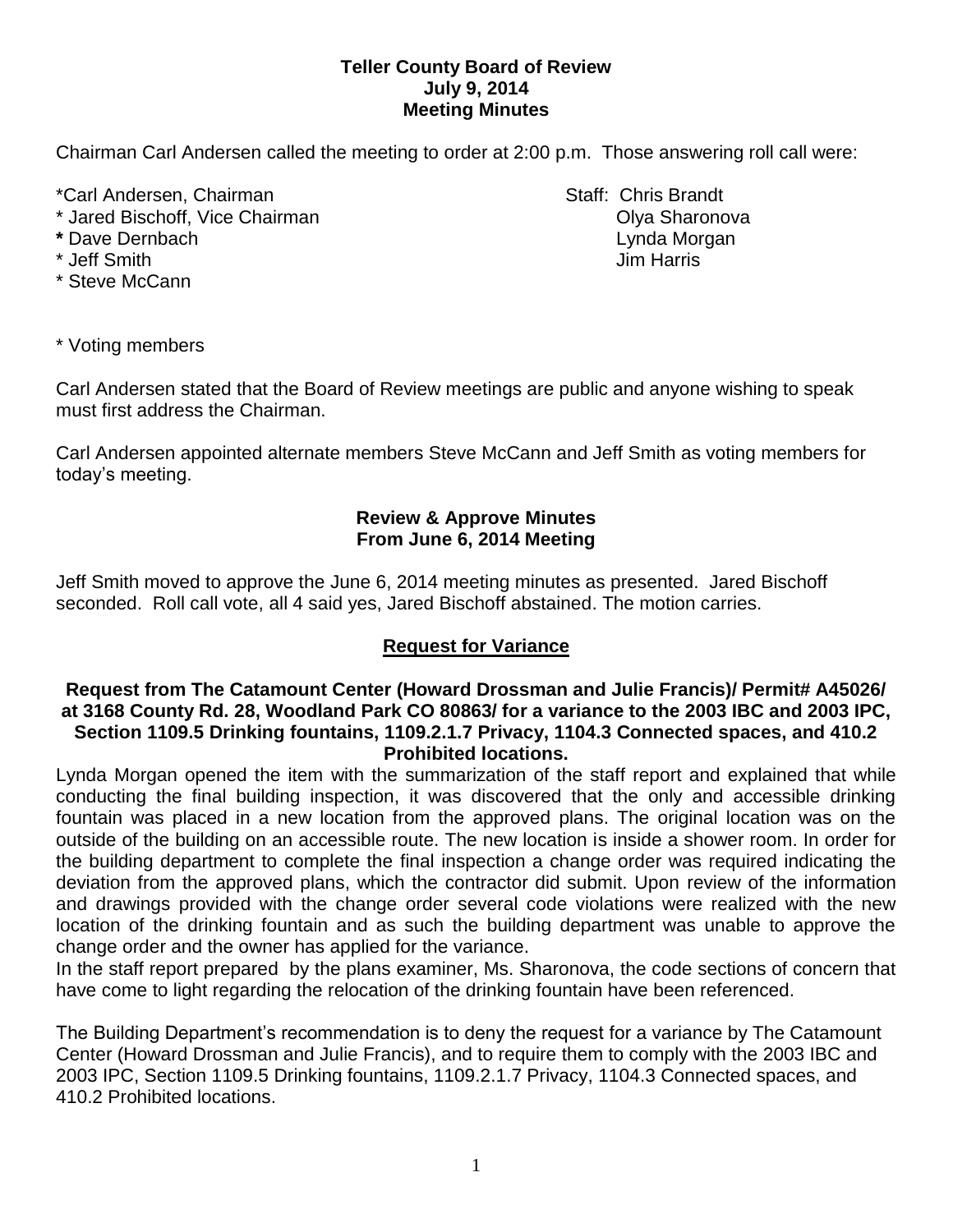## **Teller County Board of Review July 9, 2014 Meeting Minutes**

Chairman Carl Andersen called the meeting to order at 2:00 p.m. Those answering roll call were:

\*Carl Andersen, Chairman Staff: Chris Brandt

- \* Jared Bischoff, Vice Chairman **Communist Communist Communist Communist Communist Communist Communist Communist Communist Communist Communist Communist Communist Communist Communist Communist Communist Communist Communist**
- 
- 
- \* Steve McCann

**\*** Dave Dernbach Lynda Morgan \* Jeff Smith Jim Harris

\* Voting members

Carl Andersen stated that the Board of Review meetings are public and anyone wishing to speak must first address the Chairman.

Carl Andersen appointed alternate members Steve McCann and Jeff Smith as voting members for today's meeting.

# **Review & Approve Minutes From June 6, 2014 Meeting**

Jeff Smith moved to approve the June 6, 2014 meeting minutes as presented. Jared Bischoff seconded.Roll call vote, all 4 said yes, Jared Bischoff abstained. The motion carries.

# **Request for Variance**

### **Request from The Catamount Center (Howard Drossman and Julie Francis)/ Permit# A45026/ at 3168 County Rd. 28, Woodland Park CO 80863/ for a variance to the 2003 IBC and 2003 IPC, Section 1109.5 Drinking fountains, 1109.2.1.7 Privacy, 1104.3 Connected spaces, and 410.2 Prohibited locations.**

Lynda Morgan opened the item with the summarization of the staff report and explained that while conducting the final building inspection, it was discovered that the only and accessible drinking fountain was placed in a new location from the approved plans. The original location was on the outside of the building on an accessible route. The new location is inside a shower room. In order for the building department to complete the final inspection a change order was required indicating the deviation from the approved plans, which the contractor did submit. Upon review of the information and drawings provided with the change order several code violations were realized with the new location of the drinking fountain and as such the building department was unable to approve the change order and the owner has applied for the variance.

In the staff report prepared by the plans examiner, Ms. Sharonova, the code sections of concern that have come to light regarding the relocation of the drinking fountain have been referenced.

The Building Department's recommendation is to deny the request for a variance by The Catamount Center (Howard Drossman and Julie Francis), and to require them to comply with the 2003 IBC and 2003 IPC, Section 1109.5 Drinking fountains, 1109.2.1.7 Privacy, 1104.3 Connected spaces, and 410.2 Prohibited locations.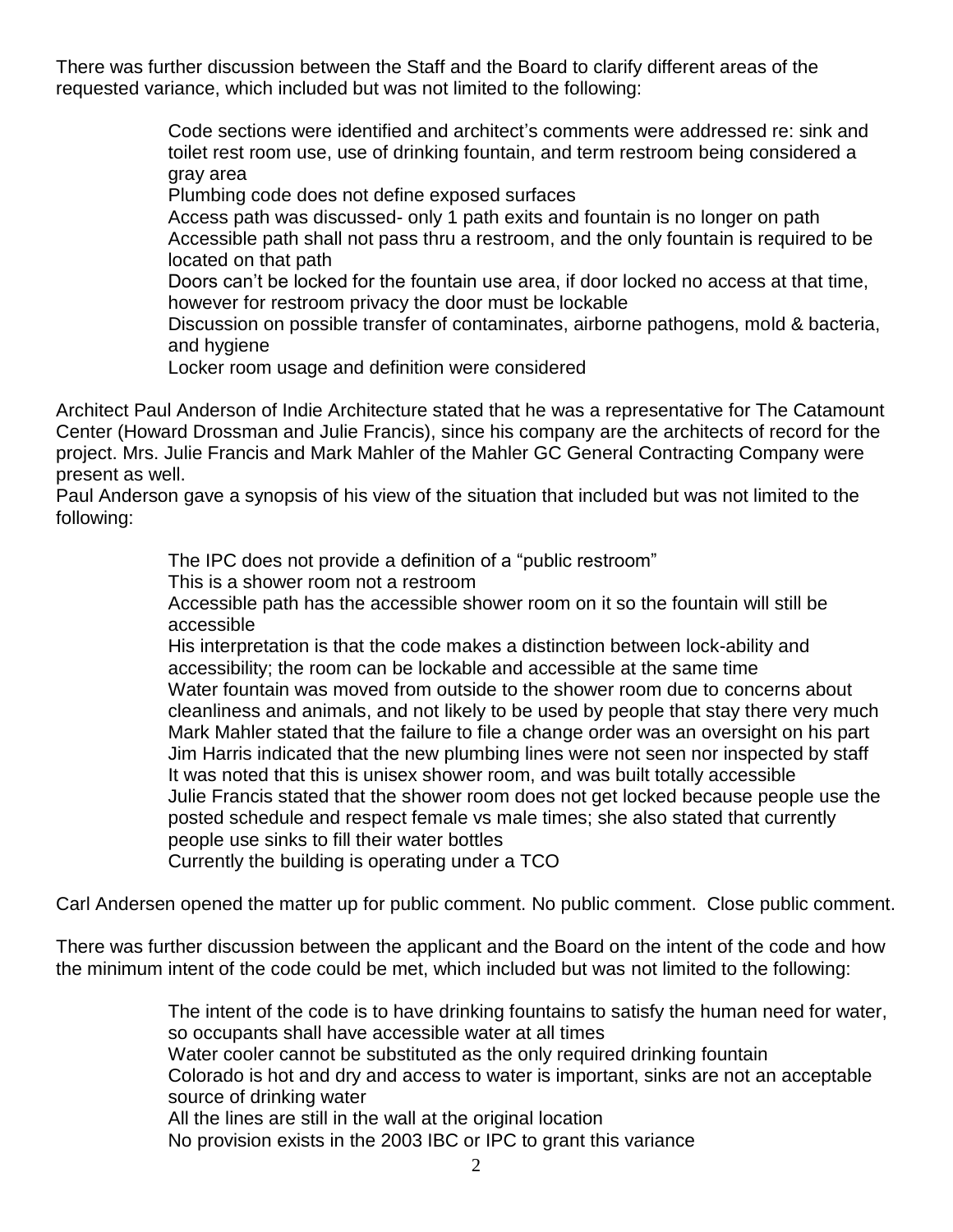There was further discussion between the Staff and the Board to clarify different areas of the requested variance, which included but was not limited to the following:

> Code sections were identified and architect's comments were addressed re: sink and toilet rest room use, use of drinking fountain, and term restroom being considered a gray area

Plumbing code does not define exposed surfaces

Access path was discussed- only 1 path exits and fountain is no longer on path Accessible path shall not pass thru a restroom, and the only fountain is required to be located on that path

Doors can't be locked for the fountain use area, if door locked no access at that time, however for restroom privacy the door must be lockable

Discussion on possible transfer of contaminates, airborne pathogens, mold & bacteria, and hygiene

Locker room usage and definition were considered

Architect Paul Anderson of Indie Architecture stated that he was a representative for The Catamount Center (Howard Drossman and Julie Francis), since his company are the architects of record for the project. Mrs. Julie Francis and Mark Mahler of the Mahler GC General Contracting Company were present as well.

Paul Anderson gave a synopsis of his view of the situation that included but was not limited to the following:

The IPC does not provide a definition of a "public restroom"

This is a shower room not a restroom

Accessible path has the accessible shower room on it so the fountain will still be accessible

His interpretation is that the code makes a distinction between lock-ability and accessibility; the room can be lockable and accessible at the same time Water fountain was moved from outside to the shower room due to concerns about cleanliness and animals, and not likely to be used by people that stay there very much Mark Mahler stated that the failure to file a change order was an oversight on his part Jim Harris indicated that the new plumbing lines were not seen nor inspected by staff It was noted that this is unisex shower room, and was built totally accessible Julie Francis stated that the shower room does not get locked because people use the posted schedule and respect female vs male times; she also stated that currently people use sinks to fill their water bottles

Currently the building is operating under a TCO

Carl Andersen opened the matter up for public comment. No public comment. Close public comment.

There was further discussion between the applicant and the Board on the intent of the code and how the minimum intent of the code could be met, which included but was not limited to the following:

> The intent of the code is to have drinking fountains to satisfy the human need for water, so occupants shall have accessible water at all times Water cooler cannot be substituted as the only required drinking fountain Colorado is hot and dry and access to water is important, sinks are not an acceptable source of drinking water All the lines are still in the wall at the original location No provision exists in the 2003 IBC or IPC to grant this variance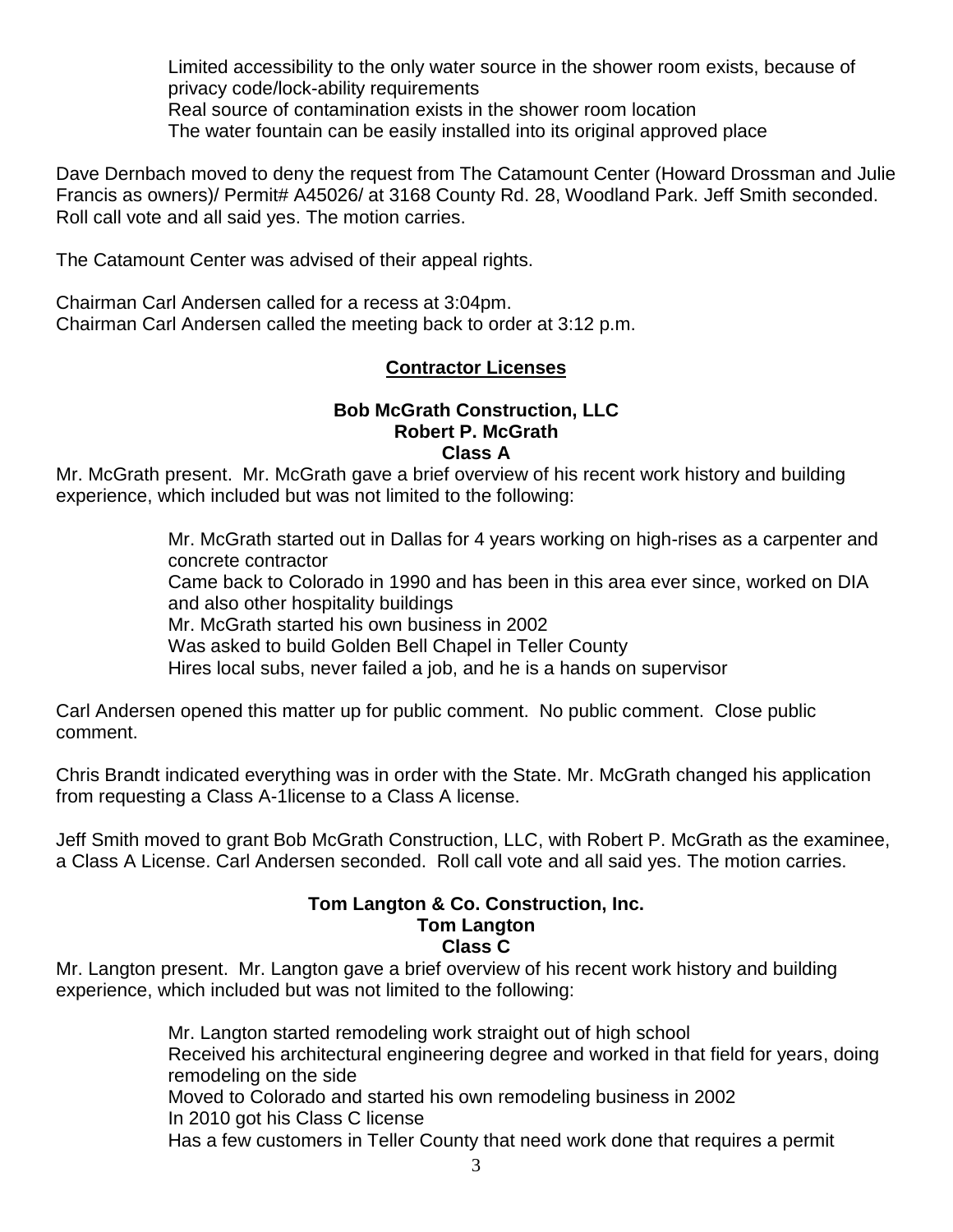Limited accessibility to the only water source in the shower room exists, because of privacy code/lock-ability requirements Real source of contamination exists in the shower room location The water fountain can be easily installed into its original approved place

Dave Dernbach moved to deny the request from The Catamount Center (Howard Drossman and Julie Francis as owners)/ Permit# A45026/ at 3168 County Rd. 28, Woodland Park. Jeff Smith seconded. Roll call vote and all said yes. The motion carries.

The Catamount Center was advised of their appeal rights.

Chairman Carl Andersen called for a recess at 3:04pm. Chairman Carl Andersen called the meeting back to order at 3:12 p.m.

# **Contractor Licenses**

### **Bob McGrath Construction, LLC Robert P. McGrath Class A**

Mr. McGrath present. Mr. McGrath gave a brief overview of his recent work history and building experience, which included but was not limited to the following:

> Mr. McGrath started out in Dallas for 4 years working on high-rises as a carpenter and concrete contractor Came back to Colorado in 1990 and has been in this area ever since, worked on DIA and also other hospitality buildings Mr. McGrath started his own business in 2002 Was asked to build Golden Bell Chapel in Teller County Hires local subs, never failed a job, and he is a hands on supervisor

Carl Andersen opened this matter up for public comment. No public comment. Close public comment.

Chris Brandt indicated everything was in order with the State. Mr. McGrath changed his application from requesting a Class A-1license to a Class A license.

Jeff Smith moved to grant Bob McGrath Construction, LLC, with Robert P. McGrath as the examinee, a Class A License. Carl Andersen seconded. Roll call vote and all said yes. The motion carries.

### **Tom Langton & Co. Construction, Inc. Tom Langton Class C**

Mr. Langton present. Mr. Langton gave a brief overview of his recent work history and building experience, which included but was not limited to the following:

> Mr. Langton started remodeling work straight out of high school Received his architectural engineering degree and worked in that field for years, doing remodeling on the side Moved to Colorado and started his own remodeling business in 2002 In 2010 got his Class C license Has a few customers in Teller County that need work done that requires a permit